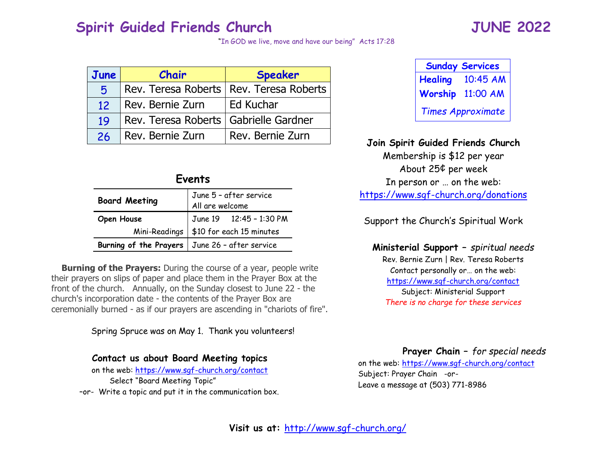# **Spirit Guided Friends Church JUNE 2022**

"In GOD we live, move and have our being" Acts 17:28

| June | Chair                                   | <b>Speaker</b>                            |
|------|-----------------------------------------|-------------------------------------------|
| Б.   |                                         | Rev. Teresa Roberts   Rev. Teresa Roberts |
| 12   | Rev. Bernie Zurn                        | Ed Kuchar                                 |
| 19   | Rev. Teresa Roberts   Gabrielle Gardner |                                           |
| 26   | Rev. Bernie Zurn                        | Rev. Bernie Zurn                          |

| <b>Board Meeting</b>                             | June 5 - after service<br>All are welcome |
|--------------------------------------------------|-------------------------------------------|
| <b>Open House</b>                                | June 19  12:45 - 1:30 PM                  |
| Mini-Readings                                    | \$10 for each 15 minutes                  |
| Burning of the Prayers   June 26 - after service |                                           |

 **Burning of the Prayers:** During the course of a year, people write their prayers on slips of paper and place them in the Prayer Box at the front of the church. Annually, on the Sunday closest to June 22 - the church's incorporation date - the contents of the Prayer Box are ceremonially burned - as if our prayers are ascending in "chariots of fire".

Spring Spruce was on May 1. Thank you volunteers!

## **Contact us about Board Meeting topics**

on the web:<https://www.sgf-church.org/contact> Select "Board Meeting Topic" –or- Write a topic and put it in the communication box.

| <b>Sunday Services</b>   |          |  |
|--------------------------|----------|--|
| <b>Healing</b>           | 10:45 AM |  |
| Worship                  | 11:00 AM |  |
| <b>Times Approximate</b> |          |  |

## <sup>26</sup> Rev. Bernie Zurn Rev. Bernie Zurn **Join Spirit Guided Friends Church**

Membership is \$12 per year About 25¢ per week In person or … on the web: <https://www.sgf-church.org/donations>

Support the Church's Spiritual Work

**Ministerial Support –** *spiritual needs* Rev. Bernie Zurn | Rev. Teresa Roberts Contact personally or… on the web: <https://www.sgf-church.org/contact> Subject: Ministerial Support *There is no charge for these services*

**Prayer Chain –** *for special needs*

on the web:<https://www.sgf-church.org/contact> Subject: Prayer Chain -or-Leave a message at (503) 771-8986